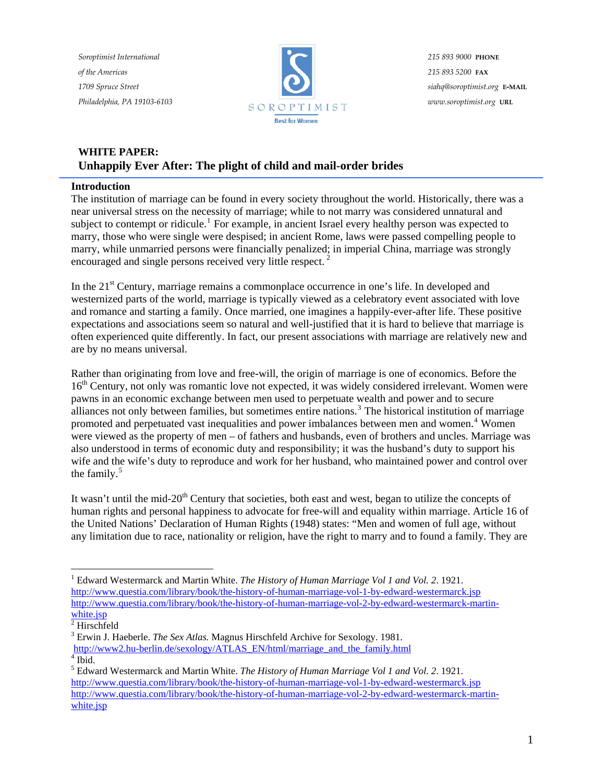*Soroptimist International of the Americas 1709 Spruce Street Philadelphia, PA 19103-6103*



*215 893 9000* **PHONE** *215 893 5200* **FAX** *siahq@soroptimist.org* **E-MAIL** *www.soroptimist.org* **URL**

# **WHITE PAPER: Unhappily Ever After: The plight of child and mail-order brides**

# **Introduction**

The institution of marriage can be found in every society throughout the world. Historically, there was a near universal stress on the necessity of marriage; while to not marry was considered unnatural and subject to contempt or ridicule.<sup>[1](#page-0-0)</sup> For example, in ancient Israel every healthy person was expected to marry, those who were single were despised; in ancient Rome, laws were passed compelling people to marry, while unmarried persons were financially penalized; in imperial China, marriage was strongly encouraged and single persons received very little respect. [2](#page-0-1)

In the 21<sup>st</sup> Century, marriage remains a commonplace occurrence in one's life. In developed and westernized parts of the world, marriage is typically viewed as a celebratory event associated with love and romance and starting a family. Once married, one imagines a happily-ever-after life. These positive expectations and associations seem so natural and well-justified that it is hard to believe that marriage is often experienced quite differently. In fact, our present associations with marriage are relatively new and are by no means universal.

Rather than originating from love and free-will, the origin of marriage is one of economics. Before the 16<sup>th</sup> Century, not only was romantic love not expected, it was widely considered irrelevant. Women were pawns in an economic exchange between men used to perpetuate wealth and power and to secure alliances not only between families, but sometimes entire nations.<sup>[3](#page-0-2)</sup> The historical institution of marriage promoted and perpetuated vast inequalities and power imbalances between men and women.<sup>[4](#page-0-3)</sup> Women were viewed as the property of men – of fathers and husbands, even of brothers and uncles. Marriage was also understood in terms of economic duty and responsibility; it was the husband's duty to support his wife and the wife's duty to reproduce and work for her husband, who maintained power and control over the family.<sup>[5](#page-0-4)</sup>

It wasn't until the mid-20<sup>th</sup> Century that societies, both east and west, began to utilize the concepts of human rights and personal happiness to advocate for free-will and equality within marriage. Article 16 of the United Nations' Declaration of Human Rights (1948) states: "Men and women of full age, without any limitation due to race, nationality or religion, have the right to marry and to found a family. They are

<span id="page-0-0"></span> $\overline{a}$ <sup>1</sup> Edward Westermarck and Martin White. *The History of Human Marriage Vol 1 and Vol.* 2. 1921. <http://www.questia.com/library/book/the-history-of-human-marriage-vol-1-by-edward-westermarck.jsp> [http://www.questia.com/library/book/the-history-of-human-marriage-vol-2-by-edward-westermarck-martin](http://www.questia.com/library/book/the-history-of-human-marriage-vol-2-by-edward-westermarck-martin-white.jsp)[white.jsp](http://www.questia.com/library/book/the-history-of-human-marriage-vol-2-by-edward-westermarck-martin-white.jsp)

<span id="page-0-1"></span> $2$  Hirschfeld

<sup>3</sup> Erwin J. Haeberle. *The Sex Atlas.* Magnus Hirschfeld Archive for Sexology. 1981.

<span id="page-0-2"></span>[http://www2.hu-berlin.de/sexology/ATLAS\\_EN/html/marriage\\_and\\_the\\_family.html](http://www2.hu-berlin.de/sexology/ATLAS_EN/html/marriage_and_the_family.html)  $<sup>4</sup>$  Ibid.</sup>

<span id="page-0-4"></span><span id="page-0-3"></span><sup>5</sup> Edward Westermarck and Martin White. *The History of Human Marriage Vol 1 and Vol. 2*. 1921. <http://www.questia.com/library/book/the-history-of-human-marriage-vol-1-by-edward-westermarck.jsp> [http://www.questia.com/library/book/the-history-of-human-marriage-vol-2-by-edward-westermarck-martin](http://www.questia.com/library/book/the-history-of-human-marriage-vol-2-by-edward-westermarck-martin-white.jsp)[white.jsp](http://www.questia.com/library/book/the-history-of-human-marriage-vol-2-by-edward-westermarck-martin-white.jsp)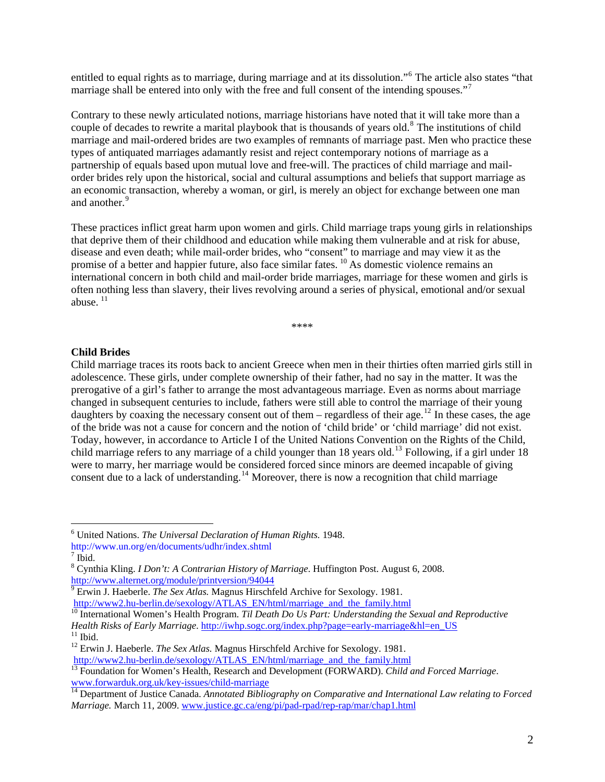entitled to equal rights as to marriage, during marriage and at its dissolution."<sup>[6](#page-1-0)</sup> The article also states "that marriage shall be entered into only with the free and full consent of the intending spouses."<sup>[7](#page-1-1)</sup>

Contrary to these newly articulated notions, marriage historians have noted that it will take more than a couple of decades to rewrite a marital playbook that is thousands of years old.<sup>[8](#page-1-2)</sup> The institutions of child marriage and mail-ordered brides are two examples of remnants of marriage past. Men who practice these types of antiquated marriages adamantly resist and reject contemporary notions of marriage as a partnership of equals based upon mutual love and free-will. The practices of child marriage and mailorder brides rely upon the historical, social and cultural assumptions and beliefs that support marriage as an economic transaction, whereby a woman, or girl, is merely an object for exchange between one man and another.<sup>[9](#page-1-3)</sup>

These practices inflict great harm upon women and girls. Child marriage traps young girls in relationships that deprive them of their childhood and education while making them vulnerable and at risk for abuse, disease and even death; while mail-order brides, who "consent" to marriage and may view it as the promise of a better and happier future, also face similar fates. <sup>[10](#page-1-4)</sup> As domestic violence remains an international concern in both child and mail-order bride marriages, marriage for these women and girls is often nothing less than slavery, their lives revolving around a series of physical, emotional and/or sexual abuse.  $11$ 

\*\*\*\*

#### **Child Brides**

Child marriage traces its roots back to ancient Greece when men in their thirties often married girls still in adolescence. These girls, under complete ownership of their father, had no say in the matter. It was the prerogative of a girl's father to arrange the most advantageous marriage. Even as norms about marriage changed in subsequent centuries to include, fathers were still able to control the marriage of their young daughters by coaxing the necessary consent out of them – regardless of their age.<sup>[12](#page-1-6)</sup> In these cases, the age of the bride was not a cause for concern and the notion of 'child bride' or 'child marriage' did not exist. Today, however, in accordance to Article I of the United Nations Convention on the Rights of the Child, child marriage refers to any marriage of a child younger than 18 years old.<sup>[13](#page-1-7)</sup> Following, if a girl under 18 were to marry, her marriage would be considered forced since minors are deemed incapable of giving consent due to a lack of understanding.<sup>[14](#page-1-8)</sup> Moreover, there is now a recognition that child marriage

<span id="page-1-0"></span><sup>6</sup> United Nations. *The Universal Declaration of Human Rights.* 1948. http://www.un.org/en/documents/udhr/index.shtml

<span id="page-1-1"></span> $7$  Ibid.

<span id="page-1-2"></span><sup>8</sup> Cynthia Kling. *I Don't: A Contrarian History of Marriage*. Huffington Post. August 6, 2008. <http://www.alternet.org/module/printversion/94044>

Erwin J. Haeberle. *The Sex Atlas.* Magnus Hirschfeld Archive for Sexology. 1981.

<span id="page-1-4"></span><span id="page-1-3"></span>[http://www2.hu-berlin.de/sexology/ATLAS\\_EN/html/marriage\\_and\\_the\\_family.html](http://www2.hu-berlin.de/sexology/ATLAS_EN/html/marriage_and_the_family.html) <sup>10</sup> International Women's Health Program. *Til Death Do Us Part: Understanding the Sexual and Reproductive Health Risks of Early Marriage*. [http://iwhp.sogc.org/index.php?page=early-marriage&hl=en\\_US](http://iwhp.sogc.org/index.php?page=early-marriage&hl=en_US) <sup>11</sup> Ibid

<span id="page-1-6"></span><span id="page-1-5"></span><sup>12</sup> Erwin J. Haeberle. *The Sex Atlas.* Magnus Hirschfeld Archive for Sexology. 1981.

<span id="page-1-7"></span>[http://www2.hu-berlin.de/sexology/ATLAS\\_EN/html/marriage\\_and\\_the\\_family.html](http://www2.hu-berlin.de/sexology/ATLAS_EN/html/marriage_and_the_family.html) 13 Foundation for Women's Health, Research and Development (FORWARD). *Child and Forced Marriage*. [www.forwarduk.org.uk/key-issues/child-marriage](http://www.forwarduk.org.uk/key-issues/child-marriage)

<span id="page-1-8"></span><sup>&</sup>lt;sup>14</sup> Department of Justice Canada. *Annotated Bibliography on Comparative and International Law relating to Forced Marriage.* March 11, 2009. [www.justice.gc.ca/eng/pi/pad-rpad/rep-rap/mar/chap1.html](http://www.justice.gc.ca/eng/pi/pad-rpad/rep-rap/mar/chap1.html)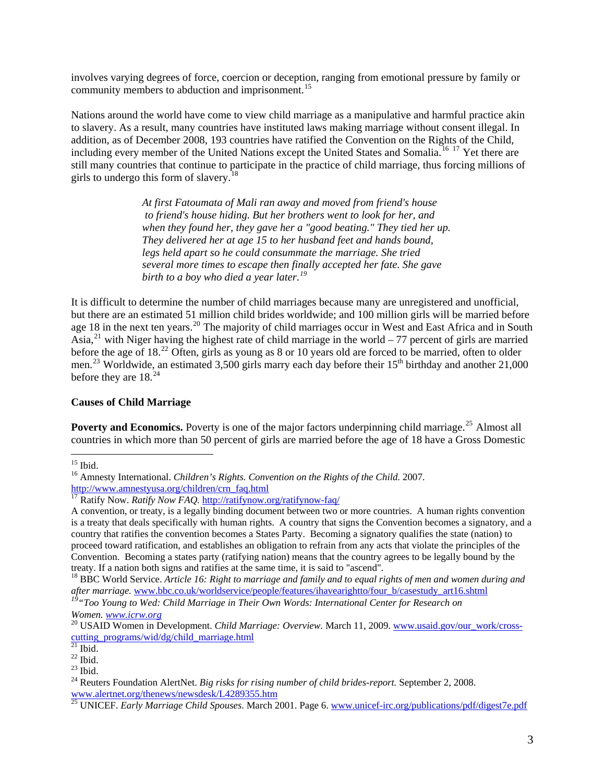involves varying degrees of force, coercion or deception, ranging from emotional pressure by family or community members to abduction and imprisonment.<sup>[15](#page-2-0)</sup>

Nations around the world have come to view child marriage as a manipulative and harmful practice akin to slavery. As a result, many countries have instituted laws making marriage without consent illegal. In addition, as of December 2008, 193 countries have ratified the Convention on the Rights of the Child, including every member of the United Nations except the United States and Somalia.<sup>[16](#page-2-1) [17](#page-2-2)</sup> Yet there are still many countries that continue to participate in the practice of child marriage, thus forcing millions of girls to undergo this form of slavery.[18](#page-2-3)

> *At first Fatoumata of Mali ran away and moved from friend's house to friend's house hiding. But her brothers went to look for her, and when they found her, they gave her a "good beating." They tied her up. They delivered her at age 15 to her husband feet and hands bound, legs held apart so he could consummate the marriage. She tried several more times to escape then finally accepted her fate. She gave birth to a boy who died a year later.[19](#page-2-4)*

It is difficult to determine the number of child marriages because many are unregistered and unofficial, but there are an estimated 51 million child brides worldwide; and 100 million girls will be married before age 18 in the next ten years.<sup>[20](#page-2-5)</sup> The majority of child marriages occur in West and East Africa and in South Asia,<sup>[21](#page-2-6)</sup> with Niger having the highest rate of child marriage in the world – 77 percent of girls are married before the age of 18.<sup>[22](#page-2-7)</sup> Often, girls as young as 8 or 10 years old are forced to be married, often to older men.<sup>[23](#page-2-8)</sup> Worldwide, an estimated 3,500 girls marry each day before their 15<sup>th</sup> birthday and another 21,000 before they are  $18<sup>24</sup>$  $18<sup>24</sup>$  $18<sup>24</sup>$ 

## **Causes of Child Marriage**

**Poverty and Economics.** Poverty is one of the major factors underpinning child marriage.<sup>[25](#page-2-10)</sup> Almost all countries in which more than 50 percent of girls are married before the age of 18 have a Gross Domestic

 $\overline{a}$  $15$  Ibid.

<span id="page-2-0"></span><sup>16</sup> Amnesty International. *Children's Rights. Convention on the Rights of the Child.* 2007.

<span id="page-2-1"></span>[http://www.amnestyusa.org/children/crn\\_faq.html](http://www.amnestyusa.org/children/crn_faq.html) [17](http://www.amnestyusa.org/children/crn_faq.html) Ratify Now. *Ratify Now FAQ.* <http://ratifynow.org/ratifynow-faq/>

<span id="page-2-2"></span>A convention, or treaty, is a legally binding document between two or more countries. A human rights convention is a treaty that deals specifically with human rights. A country that signs the Convention becomes a signatory, and a country that ratifies the convention becomes a States Party. Becoming a signatory qualifies the state (nation) to proceed toward ratification, and establishes an obligation to refrain from any acts that violate the principles of the Convention. Becoming a states party (ratifying nation) means that the country agrees to be legally bound by the treaty. If a nation both signs and ratifies at the same time, it is said to "ascend".

<span id="page-2-3"></span><sup>18</sup> BBC World Service. *Article 16: Right to marriage and family and to equal rights of men and women during and after marriage.* [www.bbc.co.uk/worldservice/people/features/ihavearightto/four\\_b/casestudy\\_art16.shtml](http://www.bbc.co.uk/worldservice/people/features/ihavearightto/four_b/casestudy_art16.shtml)

<span id="page-2-4"></span>*<sup>19&</sup>quot;Too Young to Wed: Child Marriage in Their Own Words: International Center for Research on Women. www.icrw.org*<br><sup>20</sup> USAID Women in Development. *Child Marriage: Overview.* March 11, 2009. [www.usaid.gov/our\\_work/cross-](http://www.usaid.gov/our_work/cross-cutting_programs/wid/dg/child_marriage.html)

<span id="page-2-5"></span>[cutting\\_programs/wid/dg/child\\_marriage.html](http://www.usaid.gov/our_work/cross-cutting_programs/wid/dg/child_marriage.html)

 $^{21}$  Ibid.

<span id="page-2-6"></span> $22$  Ibid.

<span id="page-2-8"></span><span id="page-2-7"></span> $^{23}$  Ibid.

<span id="page-2-9"></span><sup>24</sup> Reuters Foundation AlertNet. *Big risks for rising number of child brides-report.* September 2, 2008. [www.alertnet.org/thenews/newsdesk/L4289355.htm](http://www.alertnet.org/thenews/newsdesk/L4289355.htm)

<span id="page-2-10"></span><sup>25</sup> UNICEF. *Early Marriage Child Spouses*. March 2001. Page 6. [www.unicef-irc.org/publications/pdf/digest7e.pdf](http://www.unicef-irc.org/publications/pdf/digest7e.pdf)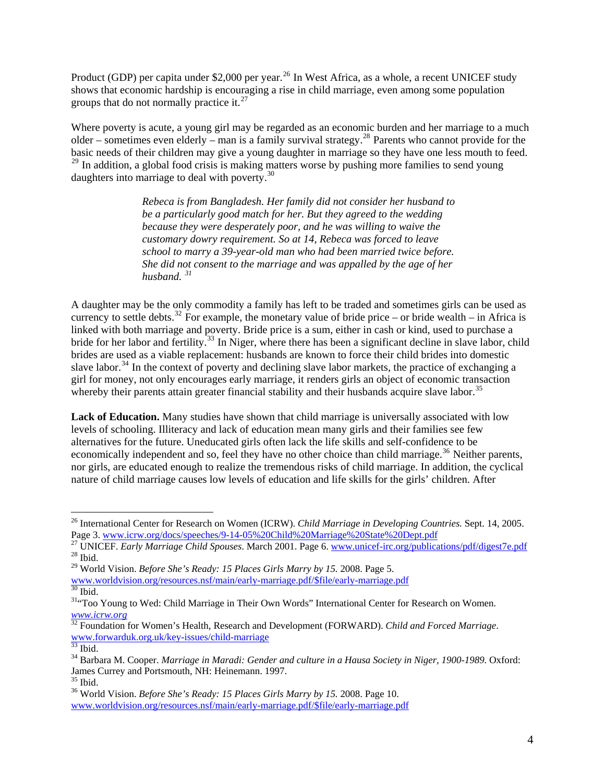Product (GDP) per capita under \$2,000 per year.<sup>[26](#page-3-0)</sup> In West Africa, as a whole, a recent UNICEF study shows that economic hardship is encouraging a rise in child marriage, even among some population groups that do not normally practice it. $^{27}$  $^{27}$  $^{27}$ 

Where poverty is acute, a young girl may be regarded as an economic burden and her marriage to a much older – sometimes even elderly – man is a family survival strategy.[28](#page-3-2) Parents who cannot provide for the basic needs of their children may give a young daughter in marriage so they have one less mouth to feed. <sup>[29](#page-3-3)</sup> In addition, a global food crisis is making matters worse by pushing more families to send young daughters into marriage to deal with poverty.[30](#page-3-4)

> *Rebeca is from Bangladesh. Her family did not consider her husband to be a particularly good match for her. But they agreed to the wedding because they were desperately poor, and he was willing to waive the customary dowry requirement. So at 14, Rebeca was forced to leave school to marry a 39-year-old man who had been married twice before. She did not consent to the marriage and was appalled by the age of her husband. [31](#page-3-5)*

A daughter may be the only commodity a family has left to be traded and sometimes girls can be used as currency to settle debts.<sup>[32](#page-3-6)</sup> For example, the monetary value of bride price – or bride wealth – in Africa is linked with both marriage and poverty. Bride price is a sum, either in cash or kind, used to purchase a bride for her labor and fertility.<sup>[33](#page-3-7)</sup> In Niger, where there has been a significant decline in slave labor, child brides are used as a viable replacement: husbands are known to force their child brides into domestic slave labor.<sup>[34](#page-3-8)</sup> In the context of poverty and declining slave labor markets, the practice of exchanging a girl for money, not only encourages early marriage, it renders girls an object of economic transaction whereby their parents attain greater financial stability and their husbands acquire slave labor.<sup>35</sup>

**Lack of Education.** Many studies have shown that child marriage is universally associated with low levels of schooling. Illiteracy and lack of education mean many girls and their families see few alternatives for the future. Uneducated girls often lack the life skills and self-confidence to be economically independent and so, feel they have no other choice than child marriage.<sup>[36](#page-3-9)</sup> Neither parents, nor girls, are educated enough to realize the tremendous risks of child marriage. In addition, the cyclical nature of child marriage causes low levels of education and life skills for the girls' children. After

<sup>26</sup> International Center for Research on Women (ICRW). *Child Marriage in Developing Countries.* Sept. 14, 2005.

<span id="page-3-1"></span><span id="page-3-0"></span>Page 3. [www.icrw.org/docs/speeches/9-14-05%20Child%20Marriage%20State%20Dept.pdf](http://www.icrw.org/docs/speeches/9-14-05%20Child%20Marriage%20State%20Dept.pdf) 27 UNICEF. *Early Marriage Child Spouses*. March 2001. Page 6. [www.unicef-irc.org/publications/pdf/digest7e.pdf](http://www.unicef-irc.org/publications/pdf/digest7e.pdf) 28 Ibid.

<span id="page-3-3"></span><span id="page-3-2"></span><sup>29</sup> World Vision. *Before She's Ready: 15 Places Girls Marry by 15.* 2008. Page 5.

[www.worldvision.org/resources.nsf/main/early-marriage.pdf/\\$file/early-marriage.pdf](http://www.worldvision.org/resources.nsf/main/early-marriage.pdf/$file/early-marriage.pdf) 30 Ibid.

<span id="page-3-5"></span><span id="page-3-4"></span><sup>&</sup>lt;sup>31</sup>"Too Young to Wed: Child Marriage in Their Own Words" International Center for Research on Women. *[www.icrw.org](http://www.icrw.org/)*

<span id="page-3-6"></span><sup>&</sup>lt;sup>32</sup> Foundation for Women's Health, Research and Development (FORWARD). *Child and Forced Marriage*. [www.forwarduk.org.uk/key-issues/child-marriage](http://www.forwarduk.org.uk/key-issues/child-marriage)

<span id="page-3-7"></span> $33$  Ibid.

<span id="page-3-8"></span><sup>34</sup> Barbara M. Cooper. *Marriage in Maradi: Gender and culture in a Hausa Society in Niger, 1900-1989.* Oxford: James Currey and Portsmouth, NH: Heinemann. 1997.

<sup>35</sup> Ibid.

<span id="page-3-9"></span><sup>36</sup> World Vision. *Before She's Ready: 15 Places Girls Marry by 15.* 2008. Page 10. [www.worldvision.org/resources.nsf/main/early-marriage.pdf/\\$file/early-marriage.pdf](http://www.worldvision.org/resources.nsf/main/early-marriage.pdf/$file/early-marriage.pdf)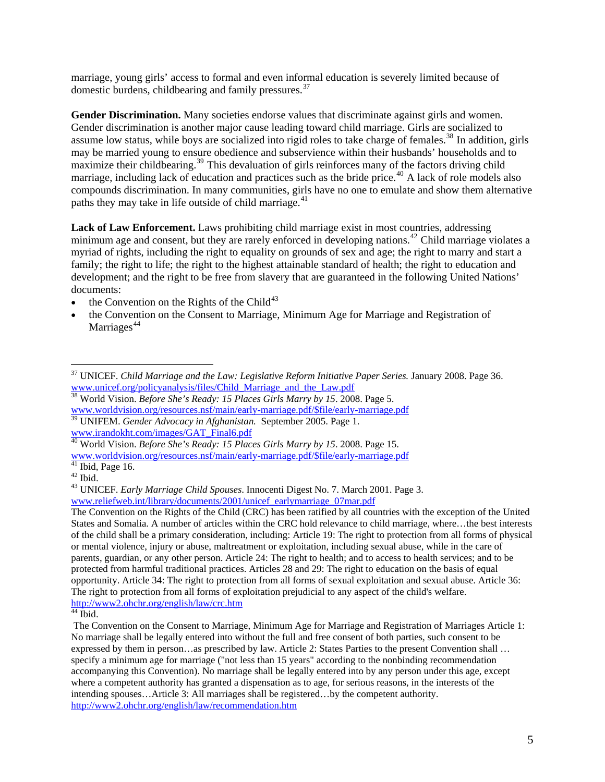marriage, young girls' access to formal and even informal education is severely limited because of domestic burdens, childbearing and family pressures.[37](#page-4-0)

**Gender Discrimination.** Many societies endorse values that discriminate against girls and women. Gender discrimination is another major cause leading toward child marriage. Girls are socialized to assume low status, while boys are socialized into rigid roles to take charge of females.<sup>[38](#page-4-1)</sup> In addition, girls may be married young to ensure obedience and subservience within their husbands' households and to maximize their childbearing.<sup>[39](#page-4-2)</sup> This devaluation of girls reinforces many of the factors driving child marriage, including lack of education and practices such as the bride price.<sup>[40](#page-4-3)</sup> A lack of role models also compounds discrimination. In many communities, girls have no one to emulate and show them alternative paths they may take in life outside of child marriage.<sup>[41](#page-4-4)</sup>

**Lack of Law Enforcement.** Laws prohibiting child marriage exist in most countries, addressing minimum age and consent, but they are rarely enforced in developing nations.<sup>[42](#page-4-5)</sup> Child marriage violates a myriad of rights, including the right to equality on grounds of sex and age; the right to marry and start a family; the right to life; the right to the highest attainable standard of health; the right to education and development; and the right to be free from slavery that are guaranteed in the following United Nations' documents:

- the Convention on the Rights of the Child<sup>[43](#page-4-6)</sup>
- the Convention on the Consent to Marriage, Minimum Age for Marriage and Registration of Marriages<sup>[44](#page-4-7)</sup>

<span id="page-4-0"></span> $\overline{a}$ 37 UNICEF. *Child Marriage and the Law: Legislative Reform Initiative Paper Series.* January 2008. Page 36. [www.unicef.org/policyanalysis/files/Child\\_Marriage\\_and\\_the\\_Law.pdf](http://www.unicef.org/policyanalysis/files/Child_Marriage_and_the_Law.pdf)

<span id="page-4-1"></span><sup>38</sup> World Vision. *Before She's Ready: 15 Places Girls Marry by 15*. 2008. Page 5. [www.worldvision.org/resources.nsf/main/early-marriage.pdf/\\$file/early-marriage.pdf](http://www.worldvision.org/resources.nsf/main/early-marriage.pdf/$file/early-marriage.pdf)

<span id="page-4-2"></span><sup>39</sup> UNIFEM. *Gender Advocacy in Afghanistan.* September 2005. Page 1. [www.irandokht.com/images/GAT\\_Final6.pdf](http://www.irandokht.com/images/GAT_Final6.pdf)

<sup>40</sup> World Vision. *Before She's Ready: 15 Places Girls Marry by 15*. 2008. Page 15.

<span id="page-4-3"></span>[www.worldvision.org/resources.nsf/main/early-marriage.pdf/\\$file/early-marriage.pdf](http://www.worldvision.org/resources.nsf/main/early-marriage.pdf/$file/early-marriage.pdf)<br>
<sup>41</sup> Ibid, Page 16.

<span id="page-4-5"></span><span id="page-4-4"></span> $42$  Ibid.

<span id="page-4-6"></span><sup>43</sup> UNICEF. *Early Marriage Child Spouses*. Innocenti Digest No. 7. March 2001. Page 3. [www.reliefweb.int/library/documents/2001/unicef\\_earlymarriage\\_07mar.pdf](http://www.reliefweb.int/library/documents/2001/unicef_earlymarriage_07mar.pdf)

The Convention on the Rights of the Child (CRC) has been ratified by all countries with the exception of the United States and Somalia. A number of articles within the CRC hold relevance to child marriage, where…the best interests of the child shall be a primary consideration, including: Article 19: The right to protection from all forms of physical or mental violence, injury or abuse, maltreatment or exploitation, including sexual abuse, while in the care of parents, guardian, or any other person. Article 24: The right to health; and to access to health services; and to be protected from harmful traditional practices. Articles 28 and 29: The right to education on the basis of equal opportunity. Article 34: The right to protection from all forms of sexual exploitation and sexual abuse. Article 36: The right to protection from all forms of exploitation prejudicial to any aspect of the child's welfare. [http://www2.ohchr.org/english/law/crc.htm 44](http://www2.ohchr.org/english/law/crc.htm) Ibid.

<span id="page-4-7"></span>The Convention on the Consent to Marriage, Minimum Age for Marriage and Registration of Marriages Article 1: No marriage shall be legally entered into without the full and free consent of both parties, such consent to be expressed by them in person…as prescribed by law. Article 2: States Parties to the present Convention shall … specify a minimum age for marriage ("not less than 15 years" according to the nonbinding recommendation accompanying this Convention). No marriage shall be legally entered into by any person under this age, except where a competent authority has granted a dispensation as to age, for serious reasons, in the interests of the intending spouses…Article 3: All marriages shall be registered…by the competent authority. <http://www2.ohchr.org/english/law/recommendation.htm>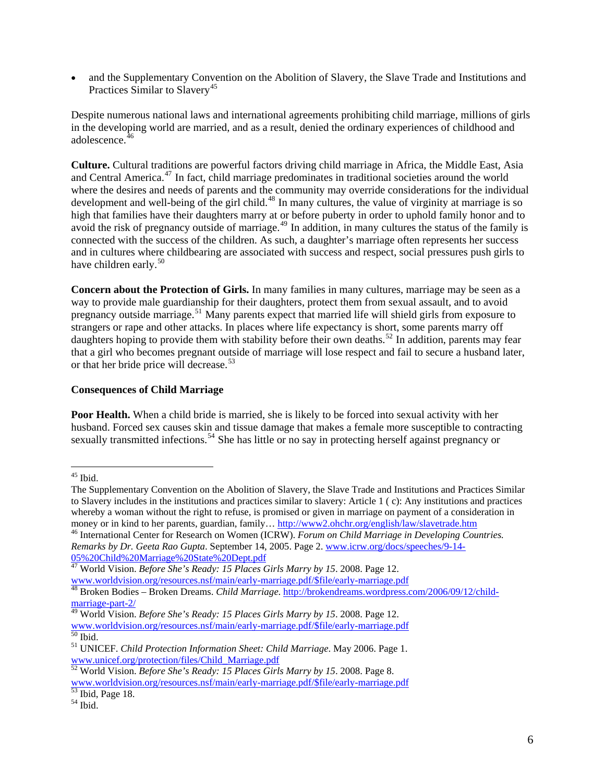• and the Supplementary Convention on the Abolition of Slavery, the Slave Trade and Institutions and Practices Similar to Slavery<sup>[45](#page-5-0)</sup>

Despite numerous national laws and international agreements prohibiting child marriage, millions of girls in the developing world are married, and as a result, denied the ordinary experiences of childhood and adolescence.<sup>[46](#page-5-1)</sup>

**Culture.** Cultural traditions are powerful factors driving child marriage in Africa, the Middle East, Asia and Central America.<sup>[47](#page-5-2)</sup> In fact, child marriage predominates in traditional societies around the world where the desires and needs of parents and the community may override considerations for the individual development and well-being of the girl child.<sup>[48](#page-5-3)</sup> In many cultures, the value of virginity at marriage is so high that families have their daughters marry at or before puberty in order to uphold family honor and to avoid the risk of pregnancy outside of marriage.<sup>[49](#page-5-4)</sup> In addition, in many cultures the status of the family is connected with the success of the children. As such, a daughter's marriage often represents her success and in cultures where childbearing are associated with success and respect, social pressures push girls to have children early.<sup>[50](#page-5-5)</sup>

**Concern about the Protection of Girls.** In many families in many cultures, marriage may be seen as a way to provide male guardianship for their daughters, protect them from sexual assault, and to avoid pregnancy outside marriage.[51](#page-5-6) Many parents expect that married life will shield girls from exposure to strangers or rape and other attacks. In places where life expectancy is short, some parents marry off daughters hoping to provide them with stability before their own deaths.<sup>[52](#page-5-7)</sup> In addition, parents may fear that a girl who becomes pregnant outside of marriage will lose respect and fail to secure a husband later, or that her bride price will decrease.<sup>[53](#page-5-8)</sup>

#### **Consequences of Child Marriage**

**Poor Health.** When a child bride is married, she is likely to be forced into sexual activity with her husband. Forced sex causes skin and tissue damage that makes a female more susceptible to contracting sexually transmitted infections.<sup>[54](#page-5-9)</sup> She has little or no say in protecting herself against pregnancy or

 $\overline{a}$ 

<span id="page-5-1"></span>*Remarks by Dr. Geeta Rao Gupta*. September 14, 2005. Page 2. [www.icrw.org/docs/speeches/9-14-](http://www.icrw.org/docs/speeches/9-14-05%20Child%20Marriage%20State%20Dept.pdf) [05%20Child%20Marriage%20State%20Dept.pdf](http://www.icrw.org/docs/speeches/9-14-05%20Child%20Marriage%20State%20Dept.pdf)

47 World Vision. *Before She's Ready: 15 Places Girls Marry by 15*. 2008. Page 12.

<span id="page-5-0"></span> $45$  Ibid.

The Supplementary Convention on the Abolition of Slavery, the Slave Trade and Institutions and Practices Similar to Slavery includes in the institutions and practices similar to slavery: Article 1 ( c): Any institutions and practices whereby a woman without the right to refuse, is promised or given in marriage on payment of a consideration in money or in kind to her parents, guardian, family...<http://www2.ohchr.org/english/law/slavetrade.htm> 46 International Center for Research on Women (ICRW). *Forum on Child Marriage in Developing Countries*.

<span id="page-5-3"></span><span id="page-5-2"></span>[www.worldvision.org/resources.nsf/main/early-marriage.pdf/\\$file/early-marriage.pdf 48](http://www.worldvision.org/resources.nsf/main/early-marriage.pdf/$file/early-marriage.pdf) Broken Bodies – Broken Dreams. *Child Marriage*. [http://brokendreams.wordpress.com/2006/09/12/child](http://brokendreams.wordpress.com/2006/09/12/child-marriage-part-2/)[marriage-part-2/](http://brokendreams.wordpress.com/2006/09/12/child-marriage-part-2/)

<span id="page-5-4"></span><sup>49</sup> World Vision. *Before She's Ready: 15 Places Girls Marry by 15*. 2008. Page 12. [www.worldvision.org/resources.nsf/main/early-marriage.pdf/\\$file/early-marriage.pdf](http://www.worldvision.org/resources.nsf/main/early-marriage.pdf/$file/early-marriage.pdf) 50 Ibid.

<span id="page-5-6"></span><span id="page-5-5"></span><sup>51</sup> UNICEF. *Child Protection Information Sheet: Child Marriage*. May 2006. Page 1. [www.unicef.org/protection/files/Child\\_Marriage.pdf](http://www.unicef.org/protection/files/Child_Marriage.pdf)

<span id="page-5-7"></span><sup>52</sup> World Vision. *Before She's Ready: 15 Places Girls Marry by 15*. 2008. Page 8. [www.worldvision.org/resources.nsf/main/early-marriage.pdf/\\$file/early-marriage.pdf](http://www.worldvision.org/resources.nsf/main/early-marriage.pdf/$file/early-marriage.pdf)<br>
<sup>53</sup> Ibid, Page 18.

<span id="page-5-9"></span><span id="page-5-8"></span> $54$  Ibid.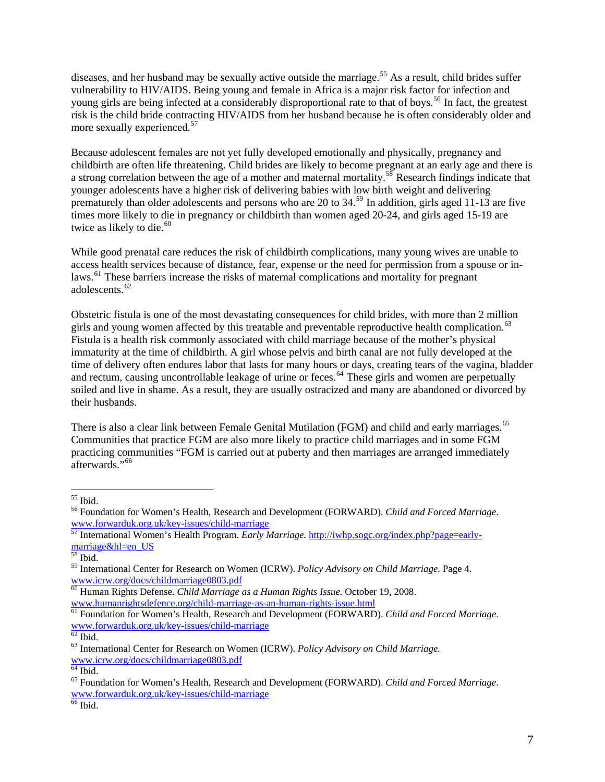diseases, and her husband may be sexually active outside the marriage.<sup>[55](#page-6-0)</sup> As a result, child brides suffer vulnerability to HIV/AIDS. Being young and female in Africa is a major risk factor for infection and young girls are being infected at a considerably disproportional rate to that of boys.<sup>[56](#page-6-1)</sup> In fact, the greatest risk is the child bride contracting HIV/AIDS from her husband because he is often considerably older and more sexually experienced.<sup>[57](#page-6-2)</sup>

Because adolescent females are not yet fully developed emotionally and physically, pregnancy and childbirth are often life threatening. Child brides are likely to become pregnant at an early age and there is a strong correlation between the age of a mother and maternal mortality.<sup>[58](#page-6-3)</sup> Research findings indicate that younger adolescents have a higher risk of delivering babies with low birth weight and delivering prematurely than older adolescents and persons who are 20 to 34.[59](#page-6-4) In addition, girls aged 11-13 are five times more likely to die in pregnancy or childbirth than women aged 20-24, and girls aged 15-19 are twice as likely to die. $60$ 

While good prenatal care reduces the risk of childbirth complications, many young wives are unable to access health services because of distance, fear, expense or the need for permission from a spouse or in-laws.<sup>[61](#page-6-6)</sup> These barriers increase the risks of maternal complications and mortality for pregnant adolescents.<sup>[62](#page-6-7)</sup>

Obstetric fistula is one of the most devastating consequences for child brides, with more than 2 million girls and young women affected by this treatable and preventable reproductive health complication.<sup>[63](#page-6-8)</sup> Fistula is a health risk commonly associated with child marriage because of the mother's physical immaturity at the time of childbirth. A girl whose pelvis and birth canal are not fully developed at the time of delivery often endures labor that lasts for many hours or days, creating tears of the vagina, bladder and rectum, causing uncontrollable leakage of urine or feces.<sup>[64](#page-6-9)</sup> These girls and women are perpetually soiled and live in shame. As a result, they are usually ostracized and many are abandoned or divorced by their husbands.

There is also a clear link between Female Genital Mutilation (FGM) and child and early marriages.<sup>[65](#page-6-10)</sup> Communities that practice FGM are also more likely to practice child marriages and in some FGM practicing communities "FGM is carried out at puberty and then marriages are arranged immediately afterwards<sup>"[66](#page-6-11)</sup>

<sup>55</sup> Ibid.

<span id="page-6-1"></span><span id="page-6-0"></span><sup>56</sup> Foundation for Women's Health, Research and Development (FORWARD). *Child and Forced Marriage*. [www.forwarduk.org.uk/key-issues/child-marriage](http://www.forwarduk.org.uk/key-issues/child-marriage)<br>
<sup>57</sup> Internation JW

<span id="page-6-2"></span><sup>57</sup> International Women's Health Program. *Early Marriage.* [http://iwhp.sogc.org/index.php?page=early](http://iwhp.sogc.org/index.php?page=early-marriage&hl=en_US)marriage&hl=en\_US<br><sup>58</sup> Ibid.

<span id="page-6-4"></span><span id="page-6-3"></span><sup>&</sup>lt;sup>59</sup> International Center for Research on Women (ICRW). *Policy Advisory on Child Marriage*. Page 4. www.icrw.org/docs/childmarriage0803.pdf

<span id="page-6-5"></span><sup>&</sup>lt;sup>[60](http://www.icrw.org/docs/childmarriage0803.pdf)</sup> Human Rights Defense. *Child Marriage as a Human Rights Issue*. October 19, 2008.<br>www.humanrightsdefence.org/child-marriage-as-an-human-rights-issue.html

<span id="page-6-6"></span><sup>&</sup>lt;sup>61</sup> Foundation for Women's Health, Research and Development (FORWARD). *Child and Forced Marriage*. [www.forwarduk.org.uk/key-issues/child-marriage](http://www.forwarduk.org.uk/key-issues/child-marriage)

 $62$  Ibid.

<span id="page-6-8"></span><span id="page-6-7"></span><sup>63</sup> International Center for Research on Women (ICRW). *Policy Advisory on Child Marriage.* [www.icrw.org/docs/childmarriage0803.pdf](http://www.icrw.org/docs/childmarriage0803.pdf)

 $64$  Ibid.

<span id="page-6-10"></span><span id="page-6-9"></span><sup>65</sup> Foundation for Women's Health, Research and Development (FORWARD). *Child and Forced Marriage*. [www.forwarduk.org.uk/key-issues/child-marriage](http://www.forwarduk.org.uk/key-issues/child-marriage)

<span id="page-6-11"></span><sup>&</sup>lt;sup>66</sup> Ibid.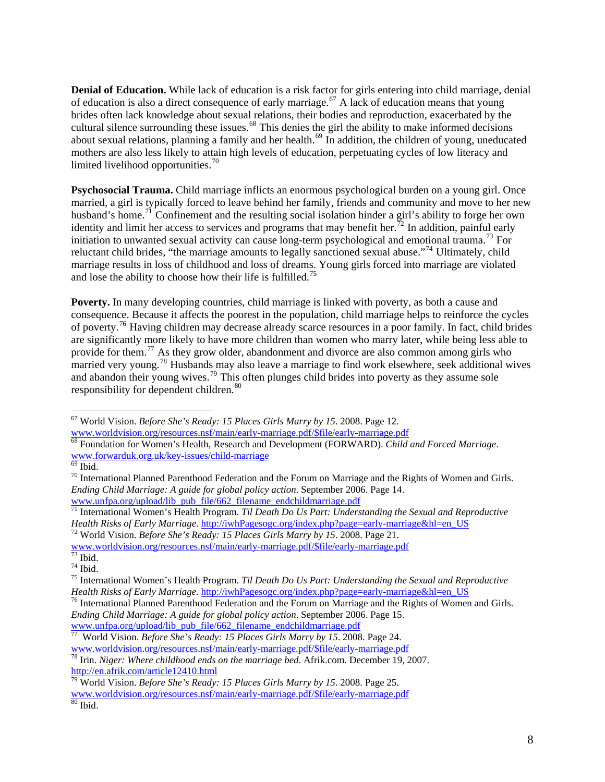**Denial of Education.** While lack of education is a risk factor for girls entering into child marriage, denial of education is also a direct consequence of early marriage.<sup>[67](#page-7-0)</sup> A lack of education means that young brides often lack knowledge about sexual relations, their bodies and reproduction, exacerbated by the cultural silence surrounding these issues.<sup>[68](#page-7-1)</sup> This denies the girl the ability to make informed decisions about sexual relations, planning a family and her health.<sup>[69](#page-7-2)</sup> In addition, the children of young, uneducated mothers are also less likely to attain high levels of education, perpetuating cycles of low literacy and limited livelihood opportunities. $\frac{70}{2}$ 

**Psychosocial Trauma.** Child marriage inflicts an enormous psychological burden on a young girl. Once married, a girl is typically forced to leave behind her family, friends and community and move to her new husband's home.<sup>[71](#page-7-3)</sup> Confinement and the resulting social isolation hinder a girl's ability to forge her own identity and limit her access to services and programs that may benefit her.<sup>[72](#page-7-4)</sup> In addition, painful early initiation to unwanted sexual activity can cause long-term psychological and emotional trauma.<sup>[73](#page-7-5)</sup> For reluctant child brides, "the marriage amounts to legally sanctioned sexual abuse."[74](#page-7-6) Ultimately, child marriage results in loss of childhood and loss of dreams. Young girls forced into marriage are violated and lose the ability to choose how their life is fulfilled.<sup>[75](#page-7-7)</sup>

**Poverty.** In many developing countries, child marriage is linked with poverty, as both a cause and consequence. Because it affects the poorest in the population, child marriage helps to reinforce the cycles of poverty.[76](#page-7-8) Having children may decrease already scarce resources in a poor family. In fact, child brides are significantly more likely to have more children than women who marry later, while being less able to provide for them.<sup>[77](#page-7-9)</sup> As they grow older, abandonment and divorce are also common among girls who married very young.<sup>[78](#page-7-10)</sup> Husbands may also leave a marriage to find work elsewhere, seek additional wives and abandon their young wives.<sup>[79](#page-7-11)</sup> This often plunges child brides into poverty as they assume sole responsibility for dependent children.<sup>[80](#page-7-12)</sup>

 $\overline{a}$ 

<span id="page-7-4"></span>[www.worldvision.org/resources.nsf/main/early-marriage.pdf/\\$file/early-marriage.pdf](http://www.worldvision.org/resources.nsf/main/early-marriage.pdf/$file/early-marriage.pdf)<br>
T3 Ibid.

<sup>67</sup> World Vision. *Before She's Ready: 15 Places Girls Marry by 15*. 2008. Page 12.

<span id="page-7-1"></span><span id="page-7-0"></span>[www.worldvision.org/resources.nsf/main/early-marriage.pdf/\\$file/early-marriage.pdf](http://www.worldvision.org/resources.nsf/main/early-marriage.pdf/$file/early-marriage.pdf)<br><sup>68</sup> Foundation for Women's Health, Research and Development (FORWARD). *Child and Forced Marriage*. [www.forwarduk.org.uk/key-issues/child-marriage](http://www.forwarduk.org.uk/key-issues/child-marriage)

<span id="page-7-2"></span> $\overline{69}$  Ibid.

 $70$  International Planned Parenthood Federation and the Forum on Marriage and the Rights of Women and Girls. *Ending Child Marriage: A guide for global policy action*. September 2006. Page 14. [www.unfpa.org/upload/lib\\_pub\\_file/662\\_filename\\_endchildmarriage.pdf](http://www.unfpa.org/upload/lib_pub_file/662_filename_endchildmarriage.pdf)

<span id="page-7-3"></span><sup>71</sup> International Women's Health Program. *Til Death Do Us Part: Understanding the Sexual and Reproductive Health Risks of Early Marriage.* [http://iwhPagesogc.org/index.php?page=early-marriage&hl=en\\_US](http://iwhp.sogc.org/index.php?page=early-marriage&hl=en_US)<sup>72</sup> World Vision. *Before She's Ready: 15 Places Girls Marry by 15.* 2008. Page 21.

<span id="page-7-6"></span><span id="page-7-5"></span> $74$  Ibid.

<span id="page-7-7"></span><sup>&</sup>lt;sup>75</sup> International Women's Health Program. *Til Death Do Us Part: Understanding the Sexual and Reproductive Health Risks of Early Marriage.* http://iwhPagesogc.org/index.php?page=early-marriage&hl=en\_US

<span id="page-7-8"></span><sup>&</sup>lt;sup>76</sup> International Planned Parenthood Federation and the Forum on Marriage and the Rights of Women and Girls. *Ending Child Marriage: A guide for global policy action*. September 2006. Page 15. [www.unfpa.org/upload/lib\\_pub\\_file/662\\_filename\\_endchildmarriage.pdf](http://www.unfpa.org/upload/lib_pub_file/662_filename_endchildmarriage.pdf)<br>
T Wesl Visit Pub\_file = 0.000 minutes

<span id="page-7-9"></span><sup>77</sup> World Vision. *Before She's Ready: 15 Places Girls Marry by 15*. 2008. Page 24.

<span id="page-7-10"></span><sup>&</sup>lt;sup>78</sup> Irin. *Niger: Where childhood ends on the marriage bed.* Afrik.com. December 19, 2007. <http://en.afrik.com/article12410.html>79 World Vision. *Before She's Ready: 15 Places Girls Marry by 15*. 2008. Page 25.

<span id="page-7-12"></span><span id="page-7-11"></span>[www.worldvision.org/resources.nsf/main/early-marriage.pdf/\\$file/early-marriage.pdf](http://www.worldvision.org/resources.nsf/main/early-marriage.pdf/$file/early-marriage.pdf)<br><sup>80</sup> Ibid.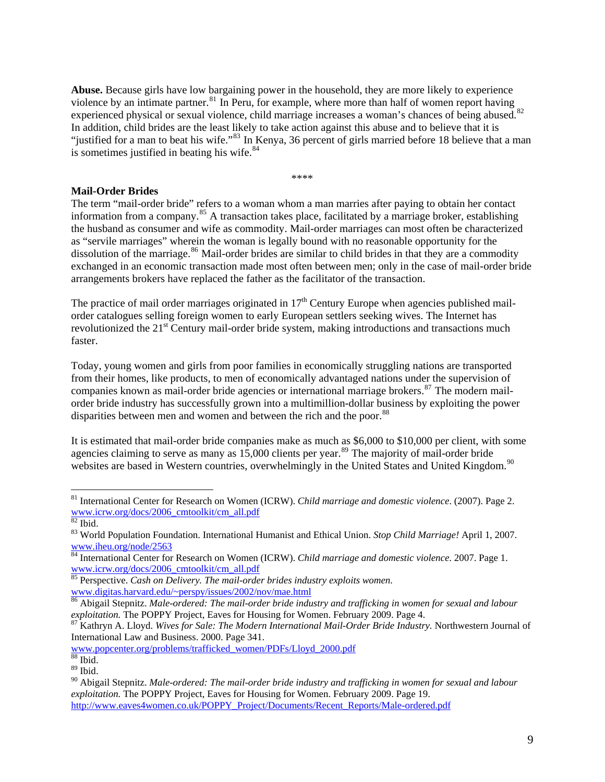**Abuse.** Because girls have low bargaining power in the household, they are more likely to experience violence by an intimate partner.<sup>[81](#page-8-0)</sup> In Peru, for example, where more than half of women report having experienced physical or sexual violence, child marriage increases a woman's chances of being abused.<sup>[82](#page-8-1)</sup> In addition, child brides are the least likely to take action against this abuse and to believe that it is "justified for a man to beat his wife."<sup>[83](#page-8-2)</sup> In Kenya, 36 percent of girls married before 18 believe that a man is sometimes justified in beating his wife.<sup>[84](#page-8-3)</sup>

\*\*\*\*

# **Mail-Order Brides**

The term "mail-order bride" refers to a woman whom a man marries after paying to obtain her contact information from a company.<sup>[85](#page-8-4)</sup> A transaction takes place, facilitated by a marriage broker, establishing the husband as consumer and wife as commodity. Mail-order marriages can most often be characterized as "servile marriages" wherein the woman is legally bound with no reasonable opportunity for th e dissolution of the marriage.<sup>[86](#page-8-5)</sup> Mail-order brides are similar to child brides in that they are a commodity exchanged in an economic transaction made most often between men; only in the case of mail-order bride arrangements brokers have replaced the father as the facilitator of the transaction.

The practice of mail order marriages originated in  $17<sup>th</sup>$  Century Europe when agencies published mailorder catalogues selling foreign women to early European settlers seeking wives. The Internet has revolutionized the  $21<sup>st</sup>$  Century mail-order bride system, making introductions and transactions much faster.

Today, young women and girls from poor families in economically struggling nations are transported from their homes, like products, to men of economically advantaged nations under the supervision of companies known as mail-order bride agencies or international marriage brokers.<sup>[87](#page-8-6)</sup> The modern mailorder bride industry has successfully grown into a multimillion-dollar business by exploiting the power disparities between men and women and between the rich and the poor.<sup>[88](#page-8-7)</sup>

It is estimated that mail-order bride companies make as much as \$6,000 to \$10,000 per client, with some agencies claiming to serve as many as  $15,000$  clients per year.<sup>[89](#page-8-8)</sup> The majority of mail-order bride websites are based in Western countries, overwhelmingly in the United States and United Kingdom.<sup>[90](#page-8-9)</sup>

 $\overline{a}$ 

[www.popcenter.org/problems/trafficked\\_women/PDFs/Lloyd\\_2000.pdf](http://www.popcenter.org/problems/traffic_women.PDFs/Lloyd_2000.pdf)

<span id="page-8-0"></span><sup>81</sup> International Center for Research on Women (ICRW). *Child marriage and domestic violence*. (2007). Page 2. [www.icrw.org/docs/2006\\_cmtoolkit/cm\\_all.pdf](http://www.icrw.org/docs/2006_cmtoolkit/cm_all.pdf)

<span id="page-8-1"></span> $\overline{\phantom{1}}^{82}$  Ibid.

<span id="page-8-2"></span><sup>83</sup> World Population Foundation. International Humanist and Ethical Union. *Stop Child Marriage!* April 1, 2007. [www.iheu.org/node/2563](http://www.iheu.org/node/2563)

<span id="page-8-3"></span><sup>84</sup> International Center for Research on Women (ICRW). *Child marriage and domestic violence*. 2007. Page 1. [www.icrw.org/docs/2006\\_cmtoolkit/cm\\_all.pdf](http://www.icrw.org/docs/2006_cmtoolkit/cm_all.pdf)

<span id="page-8-4"></span><sup>85</sup> Perspective. *Cash on Delivery. The mail-order brides industry exploits women.*  [www.digitas.harvard.edu/~perspy/issues/2002/nov/mae.html](http://www.digitas.harvard.edu/%7Eperspy/issues/2002/nov/mae.html)

<span id="page-8-5"></span><sup>86</sup> Abigail Stepnitz. *Male-ordered: The mail-order bride industry and trafficking in women for sexual and labour exploitation.* The POPPY Project, Eaves for Housing for Women. February 2009. Page 4.<br><sup>87</sup> Kathryn A. Lloyd. *Wives for Sale: The Modern International Mail-Order Bride Industry*. Northwestern Journal of

<span id="page-8-6"></span>International Law and Business. 2000. Page 341.

 $88$  Ibid.

<span id="page-8-8"></span><span id="page-8-7"></span> $^{89}$  Ibid.

<span id="page-8-9"></span><sup>90</sup> Abigail Stepnitz. *Male-ordered: The mail-order bride industry and trafficking in women for sexual and labour exploitation.* The POPPY Project, Eaves for Housing for Women. February 2009. Page 19. [http://www.eaves4women.co.uk/POPPY\\_Project/Documents/Recent\\_Reports/Male-ordered.pdf](http://www.eaves4women.co.uk/POPPY_Project/Documents/Recent_Reports/Male-ordered.pdf)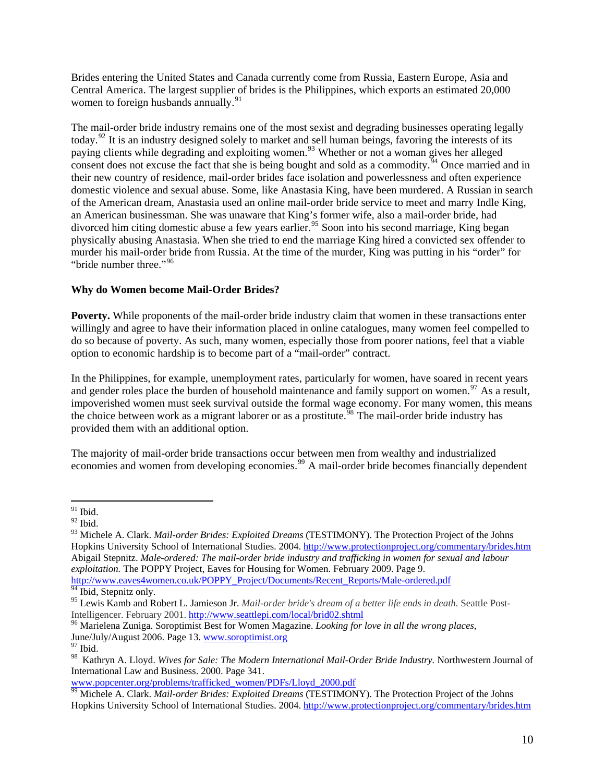Brides entering the United States and Canada currently come from Russia, Eastern Europe, Asia and Central America. The largest supplier of brides is the Philippines, which exports an estimated 20,000 women to foreign husbands annually.<sup>91</sup>

The mail-order bride industry remains one of the most sexist and degrading businesses operating legally today.[92](#page-9-0) It is an industry designed solely to market and sell human beings, favoring the interests of its paying clients while degrading and exploiting women.<sup>[93](#page-9-1)</sup> Whether or not a woman gives her alleged consent does not excuse the fact that she is being bought and sold as a commodity.<sup>[94](#page-9-2)</sup> Once married and in their new country of residence, mail-order brides face isolation and powerlessness and often experience domestic violence and sexual abuse. Some, like Anastasia King, have been murdered. A Russian in search of the American dream, Anastasia used an online mail-order bride service to meet and marry Indle King, an American businessman. She was unaware that King's former wife, also a mail-order bride, had divorced him citing domestic abuse a few years earlier.<sup>[95](#page-9-3)</sup> Soon into his second marriage, King began physically abusing Anastasia. When she tried to end the marriage King hired a convicted sex offender to murder his mail-order bride from Russia. At the time of the murder, King was putting in his "order" for "bride number three."<sup>[96](#page-9-4)</sup>

## **Why do Women become Mail-Order Brides?**

**Poverty.** While proponents of the mail-order bride industry claim that women in these transactions enter willingly and agree to have their information placed in online catalogues, many women feel compelled to do so because of poverty. As such, many women, especially those from poorer nations, feel that a viable option to economic hardship is to become part of a "mail-order" contract.

In the Philippines, for example, unemployment rates, particularly for women, have soared in recent years and gender roles place the burden of household maintenance and family support on women.<sup>[97](#page-9-5)</sup> As a result, impoverished women must seek survival outside the formal wage economy. For many women, this means the choice between work as a migrant laborer or as a prostitute.<sup>58</sup> The mail-order bride industry has provided them with an additional option.

The majority of mail-order bride transactions occur between men from wealthy and industrialized economies and women from developing economies.<sup>[99](#page-9-7)</sup> A mail-order bride becomes financially dependent

[www.popcenter.org/problems/trafficked\\_women/PDFs/Lloyd\\_2000.pdf](http://www.popcenter.org/problems/traffic_women.PDFs/Lloyd_2000.pdf)

 $\overline{a}$  $91$  Ibid.

<span id="page-9-0"></span> $^{92}$  Ibid.

<span id="page-9-1"></span><sup>93</sup> Michele A. Clark. *Mail-order Brides: Exploited Dreams* (TESTIMONY). The Protection Project of the Johns Hopkins University School of International Studies. 2004.<http://www.protectionproject.org/commentary/brides.htm> Abigail Stepnitz. *Male-ordered: The mail-order bride industry and trafficking in women for sexual and labour exploitation.* The POPPY Project, Eaves for Housing for Women. February 2009. Page 9. [http://www.eaves4women.co.uk/POPPY\\_Project/Documents/Recent\\_Reports/Male-ordered.pdf](http://www.eaves4women.co.uk/POPPY_Project/Documents/Recent_Reports/Male-ordered.pdf)

<span id="page-9-2"></span> $\frac{94}{94}$  Ibid, Stepnitz only.

<span id="page-9-3"></span><sup>&</sup>lt;sup>95</sup> Lewis Kamb and Robert L. Jamieson Jr. *Mail-order bride's dream of a better life ends in death*. Seattle Post-<br>Intelligencer. February 2001. http://www.seattlepi.com/local/brid02.shtml

<span id="page-9-4"></span><sup>&</sup>lt;sup>96</sup> Marielena Zuniga. Soroptimist Best for Women Magazine. *Looking for love in all the wrong places,* June/July/August 2006. Page 13. [www.soroptimist.org](http://www.soroptimist.org/) <sup>97</sup> Ibid.

<span id="page-9-5"></span>

<span id="page-9-6"></span><sup>98</sup> Kathryn A. Lloyd. *Wives for Sale: The Modern International Mail-Order Bride Industry.* Northwestern Journal of International Law and Business. 2000. Page 341.

<span id="page-9-7"></span><sup>&</sup>lt;sup>99</sup> Michele A. Clark. *Mail-order Brides: Exploited Dreams* (TESTIMONY). The Protection Project of the Johns Hopkins University School of International Studies. 2004.<http://www.protectionproject.org/commentary/brides.htm>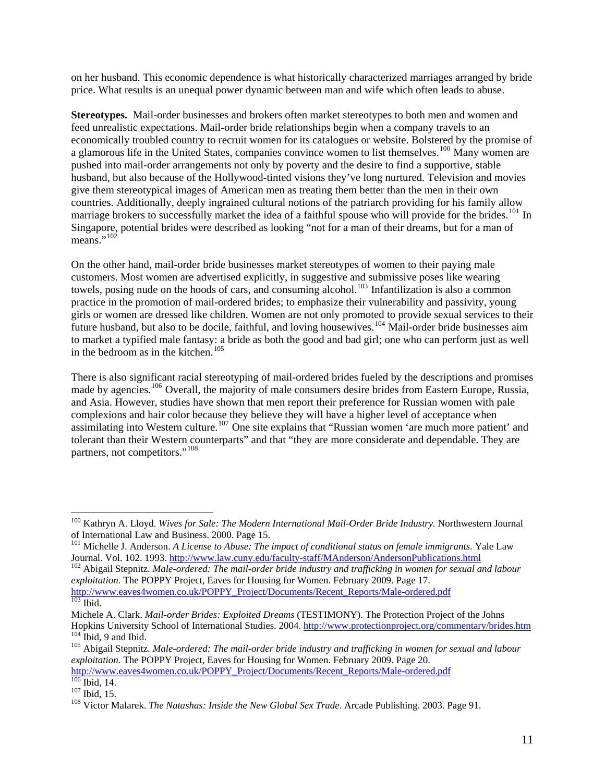on her husband. This economic dependence is what historically characterized marriages arranged by bride price. What results is an unequal power dynamic between man and wife which often leads to abuse.

**Stereotypes.** Mail-order businesses and brokers often market stereotypes to both men and women and feed unrealistic expectations. Mail-order bride relationships begin when a company travels to an economically troubled country to recruit women for its catalogues or website. Bolstered by the promise of a glamorous life in the United States, companies convince women to list themselves.<sup>[100](#page-10-0)</sup> Many women are pushed into mail-order arrangements not only by poverty and the desire to find a supportive, stable husband, but also because of the Hollywood-tinted visions they've long nurtured. Television and movies give them stereotypical images of American men as treating them better than the men in their own countries. Additionally, deeply ingrained cultural notions of the patriarch providing for his family allow marriage brokers to successfully market the idea of a faithful spouse who will provide for the brides.<sup>[101](#page-10-1)</sup> In Singapore, potential brides were described as looking "not for a man of their dreams, but for a man of means." $^{102}$  $^{102}$  $^{102}$ 

On the other hand, mail-order bride businesses market stereotypes of women to their paying male customers. Most women are advertised explicitly, in suggestive and submissive poses like wearing towels, posing nude on the hoods of cars, and consuming alcohol.<sup>[103](#page-10-3)</sup> Infantilization is also a common practice in the promotion of mail-ordered brides; to emphasize their vulnerability and passivity, young girls or women are dressed like children. Women are not only promoted to provide sexual services to their future husband, but also to be docile, faithful, and loving housewives.<sup>[104](#page-10-4)</sup> Mail-order bride businesses aim to market a typified male fantasy: a bride as both the good and bad girl; one who can perform just as well in the bedroom as in the kitchen. $105$ 

There is also significant racial stereotyping of mail-ordered brides fueled by the descriptions and promises made by agencies.<sup>[106](#page-10-6)</sup> Overall, the majority of male consumers desire brides from Eastern Europe, Russia, and Asia. However, studies have shown that men report their preference for Russian women with pale complexions and hair color because they believe they will have a higher level of acceptance when assimilating into Western culture.<sup>[107](#page-10-7)</sup> One site explains that "Russian women 'are much more patient' and tolerant than their Western counterparts" and that "they are more considerate and dependable. They are partners, not competitors."<sup>[108](#page-10-8)</sup>

<span id="page-10-6"></span>[http://www.eaves4women.co.uk/POPPY\\_Project/Documents/Recent\\_Reports/Male-ordered.pdf](http://www.eaves4women.co.uk/POPPY_Project/Documents/Recent_Reports/Male-ordered.pdf) 106 Ibid, 14. 107 Ibid, 15. 108 Victor Malarek. *The Natashas: Inside the New Global Sex Trade*. Arcade Publishing. 2003. Page 91.

<span id="page-10-0"></span><sup>&</sup>lt;sup>100</sup> Kathryn A. Lloyd. *Wives for Sale: The Modern International Mail-Order Bride Industry*. Northwestern Journal of International Law and Business. 2000. Page 15.

<span id="page-10-1"></span><sup>&</sup>lt;sup>101</sup> Michelle J. Anderson. *A License to Abuse: The impact of conditional status on female immigrants*. Yale Law Journal. Vol. 102. 1993.<http://www.law.cuny.edu/faculty-staff/MAnderson/AndersonPublications.html> <sup>102</sup> Abigail Stepnitz. *Male-ordered: The mail-order bride industry and trafficking in women for sexual and labour* 

<span id="page-10-2"></span>*exploitation.* The POPPY Project, Eaves for Housing for Women. February 2009. Page 17.

<span id="page-10-3"></span>[http://www.eaves4women.co.uk/POPPY\\_Project/Documents/Recent\\_Reports/Male-ordered.pdf](http://www.eaves4women.co.uk/POPPY_Project/Documents/Recent_Reports/Male-ordered.pdf) 103 Ibid.

Michele A. Clark. *Mail-order Brides: Exploited Dreams* (TESTIMONY). The Protection Project of the Johns Hopkins University School of International Studies. 2004.<http://www.protectionproject.org/commentary/brides.htm><br><sup>104</sup> Ibid, 9 and Ibid.<br><sup>105</sup> Abigail Stepnitz. *Male-ordered: The mail-order bride industry and trafficking* 

<span id="page-10-5"></span><span id="page-10-4"></span>*exploitation.* The POPPY Project, Eaves for Housing for Women. February 2009. Page 20.

<span id="page-10-7"></span>

<span id="page-10-8"></span>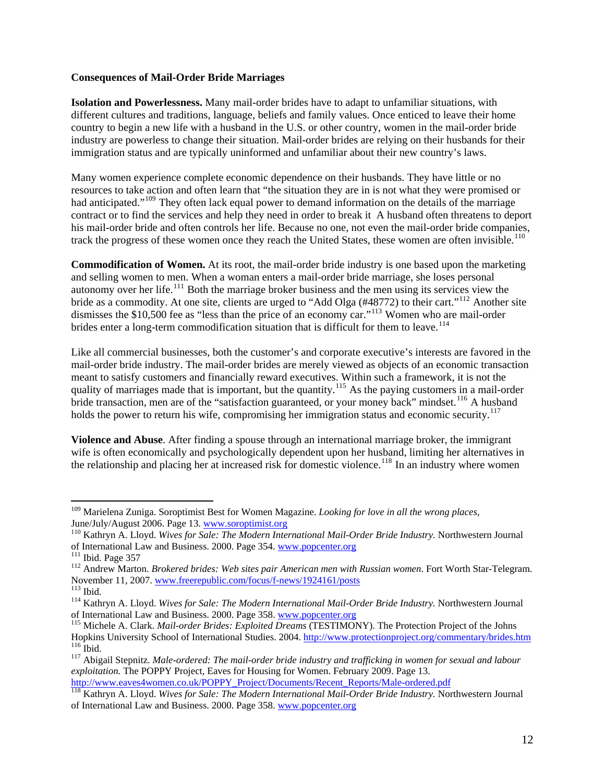#### **Consequences of Mail-Order Bride Marriages**

**Isolation and Powerlessness.** Many mail-order brides have to adapt to unfamiliar situations, with different cultures and traditions, language, beliefs and family values. Once enticed to leave their home country to begin a new life with a husband in the U.S. or other country, women in the mail-order bride industry are powerless to change their situation. Mail-order brides are relying on their husbands for their immigration status and are typically uninformed and unfamiliar about their new country's laws.

Many women experience complete economic dependence on their husbands. They have little or no resources to take action and often learn that "the situation they are in is not what they were promised or had anticipated."<sup>[109](#page-11-0)</sup> They often lack equal power to demand information on the details of the marriage contract or to find the services and help they need in order to break it A husband often threatens to deport his mail-order bride and often controls her life. Because no one, not even the mail-order bride companies, track the progress of these women once they reach the United States, these women are often invisible.<sup>[110](#page-11-1)</sup>

**Commodification of Women.** At its root, the mail-order bride industry is one based upon the marketing and selling women to men. When a woman enters a mail-order bride marriage, she loses personal autonomy over her life.<sup>[111](#page-11-2)</sup> Both the marriage broker business and the men using its services view the bride as a commodity. At one site, clients are urged to "Add Olga (#48772) to their cart."<sup>[112](#page-11-3)</sup> Another site dismisses the \$10,500 fee as "less than the price of an economy car."<sup>[113](#page-11-4)</sup> Women who are mail-order brides enter a long-term commodification situation that is difficult for them to leave.<sup>[114](#page-11-5)</sup>

Like all commercial businesses, both the customer's and corporate executive's interests are favored in the mail-order bride industry. The mail-order brides are merely viewed as objects of an economic transaction meant to satisfy customers and financially reward executives. Within such a framework, it is not the quality of marriages made that is important, but the quantity.<sup>[115](#page-11-6)</sup> As the paying customers in a mail-order bride transaction, men are of the "satisfaction guaranteed, or your money back" mindset.<sup>[116](#page-11-7)</sup> A husband holds the power to return his wife, compromising her immigration status and economic security.<sup>[117](#page-11-8)</sup>

**Violence and Abuse**. After finding a spouse through an international marriage broker, the immigrant wife is often economically and psychologically dependent upon her husband, limiting her alternatives in the relationship and placing her at increased risk for domestic violence.<sup>[118](#page-11-9)</sup> In an industry where women

<span id="page-11-0"></span><sup>109</sup> Marielena Zuniga. Soroptimist Best for Women Magazine. *Looking for love in all the wrong places,* 

<span id="page-11-1"></span>June/July/August 2006. Page 13. [www.soroptimist.org](http://www.soroptimist.org/)<br><sup>110</sup> Kathryn A. Lloyd. *Wives for Sale: The Modern International Mail-Order Bride Industry*. Northwestern Journal<br>of International Law and Business. 2000. Page 354. www.

<span id="page-11-3"></span><span id="page-11-2"></span><sup>&</sup>lt;sup>111</sup> Ibid. Page 357<br><sup>112</sup> Andrew Marton. *Brokered brides: Web sites pair American men with Russian women*. Fort Worth Star-Telegram.<br>November 11, 2007. www.freerepublic.com/focus/f-news/1924161/posts

<span id="page-11-5"></span><span id="page-11-4"></span><sup>&</sup>lt;sup>113</sup> Ibid.<br><sup>114</sup> Kathryn A. Lloyd. *Wives for Sale: The Modern International Mail-Order Bride Industry*. Northwestern Journal<br>of International Law and Business. 2000. Page 358. www.popcenter.org

<span id="page-11-6"></span><sup>&</sup>lt;sup>115</sup> Michele A. Clark. *Mail-order Brides: Exploited Dreams* (TESTIMONY). The Protection Project of the Johns<br>Hopkins University School of International Studies. 2004. http://www.protectionproject.org/commentary/brides.ht <sup>116</sup> Ibid.<br><sup>117</sup> Abigail Stepnitz. Male-ordered: The mail-order bride industry and trafficking in women for sexual and labour

<span id="page-11-8"></span><span id="page-11-7"></span>*exploitation.* The POPPY Project, Eaves for Housing for Women. February 2009. Page 13.<br>http://www.eaves4women.co.uk/POPPY Project/Documents/Recent Reports/Male-ordered.pdf

<span id="page-11-9"></span><sup>&</sup>lt;sup>118</sup> Kathryn A. Lloyd. *Wives for Sale: The Modern International Mail-Order Bride Industry*. Northwestern Journal of International Law and Business. 2000. Page 358. [www.popcenter.org](http://www.popcenter.org/)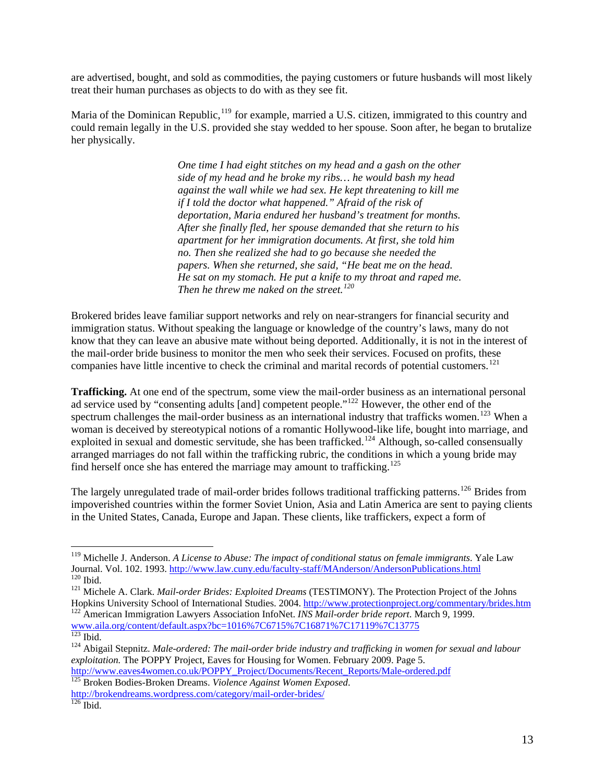are advertised, bought, and sold as commodities, the paying customers or future husbands will most likely treat their human purchases as objects to do with as they see fit.

Maria of the Dominican Republic,<sup>[119](#page-12-0)</sup> for example, married a U.S. citizen, immigrated to this country and could remain legally in the U.S. provided she stay wedded to her spouse. Soon after, he began to brutalize her physically.

> *One time I had eight stitches on my head and a gash on the other side of my head and he broke my ribs… he would bash my head against the wall while we had sex. He kept threatening to kill me if I told the doctor what happened." Afraid of the risk of deportation, Maria endured her husband's treatment for months. After she finally fled, her spouse demanded that she return to his apartment for her immigration documents. At first, she told him no. Then she realized she had to go because she needed the papers. When she returned, she said, "He beat me on the head. He sat on my stomach. He put a knife to my throat and raped me. Then he threw me naked on the street.[120](#page-12-1)*

Brokered brides leave familiar support networks and rely on near-strangers for financial security and immigration status. Without speaking the language or knowledge of the country's laws, many do not know that they can leave an abusive mate without being deported. Additionally, it is not in the interest of the mail-order bride business to monitor the men who seek their services. Focused on profits, these companies have little incentive to check the criminal and marital records of potential customers.<sup>[121](#page-12-2)</sup>

**Trafficking.** At one end of the spectrum, some view the mail-order business as an international personal ad service used by "consenting adults [and] competent people."<sup>[122](#page-12-3)</sup> However, the other end of the spectrum challenges the mail-order business as an international industry that trafficks women.<sup>[123](#page-12-4)</sup> When a woman is deceived by stereotypical notions of a romantic Hollywood-like life, bought into marriage, and exploited in sexual and domestic servitude, she has been trafficked.<sup>[124](#page-12-5)</sup> Although, so-called consensually arranged marriages do not fall within the trafficking rubric, the conditions in which a young bride may find herself once she has entered the marriage may amount to trafficking.<sup>125</sup>

The largely unregulated trade of mail-order brides follows traditional trafficking patterns.<sup>[126](#page-12-6)</sup> Brides from impoverished countries within the former Soviet Union, Asia and Latin America are sent to paying clients in the United States, Canada, Europe and Japan. These clients, like traffickers, expect a form of

<span id="page-12-0"></span><sup>119</sup> Michelle J. Anderson. *A License to Abuse: The impact of conditional status on female immigrants*. Yale Law Journal. Vol. 102. 1993.<http://www.law.cuny.edu/faculty-staff/MAnderson/AndersonPublications.html> 120 Ibid.<br>
120 Ibid. 121 Michele A. Clark. *Mail-order Brides: Exploited Dreams* (TESTIMONY). The Protection Project of the

<span id="page-12-2"></span><span id="page-12-1"></span>

<span id="page-12-3"></span><sup>&</sup>lt;sup>122</sup> American Immigration Lawyers Association InfoNet. *INS Mail-order bride report*. March 9, 1999. [www.aila.org/content/default.aspx?bc=1016%7C6715%7C16871%7C17119%7C13775](http://www.aila.org/content/default.aspx?bc=1016%7C6715%7C16871%7C17119%7C13775)<br><sup>123</sup> Ibid.

<span id="page-12-5"></span><span id="page-12-4"></span><sup>&</sup>lt;sup>124</sup> Abigail Stepnitz. *Male-ordered: The mail-order bride industry and trafficking in women for sexual and labour exploitation.* The POPPY Project, Eaves for Housing for Women. February 2009. Page 5.

[http://www.eaves4women.co.uk/POPPY\\_Project/Documents/Recent\\_Reports/Male-ordered.pdf](http://www.eaves4women.co.uk/POPPY_Project/Documents/Recent_Reports/Male-ordered.pdf) 125 Broken Bodies-Broken Dreams. *Violence Against Women Exposed*. <http://brokendreams.wordpress.com/category/mail-order-brides/>

<span id="page-12-6"></span> $126$  Ibid.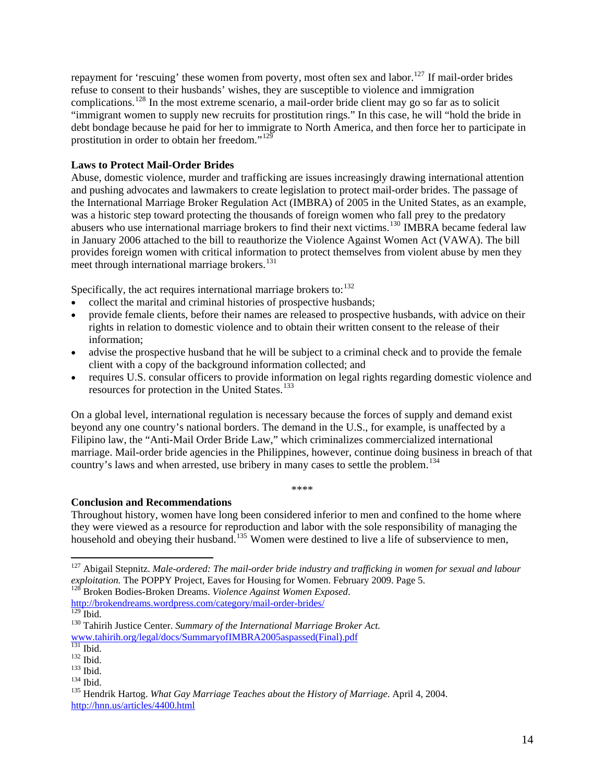repayment for 'rescuing' these women from poverty, most often sex and labor.<sup>[127](#page-13-0)</sup> If mail-order brides refuse to consent to their husbands' wishes, they are susceptible to violence and immigration complications.<sup>[128](#page-13-1)</sup> In the most extreme scenario, a mail-order bride client may go so far as to solicit "immigrant women to supply new recruits for prostitution rings." In this case, he will "hold the bride in debt bondage because he paid for her to immigrate to North America, and then force her to participate in prostitution in order to obtain her freedom."<sup>[129](#page-13-2)</sup>

# **Laws to Protect Mail-Order Brides**

Abuse, domestic violence, murder and trafficking are issues increasingly drawing international attention and pushing advocates and lawmakers to create legislation to protect mail-order brides. The passage of the International Marriage Broker Regulation Act (IMBRA) of 2005 in the United States, as an example, was a historic step toward protecting the thousands of foreign women who fall prey to the predatory abusers who use international marriage brokers to find their next victims.[130](#page-13-3) IMBRA became federal law in January 2006 attached to the bill to reauthorize the Violence Against Women Act (VAWA). The bill provides foreign women with critical information to protect themselves from violent abuse by men they meet through international marriage brokers.<sup>[131](#page-13-4)</sup>

Specifically, the act requires international marriage brokers to:  $132$ 

- collect the marital and criminal histories of prospective husbands;
- provide female clients, before their names are released to prospective husbands, with advice on their rights in relation to domestic violence and to obtain their written consent to the release of their information;
- advise the prospective husband that he will be subject to a criminal check and to provide the female client with a copy of the background information collected; and
- requires U.S. consular officers to provide information on legal rights regarding domestic violence and resources for protection in the United States.<sup>[133](#page-13-6)</sup>

On a global level, international regulation is necessary because the forces of supply and demand exist beyond any one country's national borders. The demand in the U.S., for example, is unaffected by a Filipino law, the "Anti-Mail Order Bride Law," which criminalizes commercialized international marriage. Mail-order bride agencies in the Philippines, however, continue doing business in breach of that country's laws and when arrested, use bribery in many cases to settle the problem.<sup>[134](#page-13-7)</sup>

\*\*\*\*

## **Conclusion and Recommendations**

Throughout history, women have long been considered inferior to men and confined to the home where they were viewed as a resource for reproduction and labor with the sole responsibility of managing the household and obeying their husband.<sup>[135](#page-13-8)</sup> Women were destined to live a life of subservience to men,

<span id="page-13-0"></span><sup>127</sup> Abigail Stepnitz. *Male-ordered: The mail-order bride industry and trafficking in women for sexual and labour exploitation.* The POPPY Project, Eaves for Housing for Women. February 2009. Page 5. 128 Broken Bodies-Broken Dreams. *Violence Against Women Exposed*.

<span id="page-13-1"></span><http://brokendreams.wordpress.com/category/mail-order-brides/><br><sup>129</sup> Ibid.

<span id="page-13-2"></span>

<sup>&</sup>lt;sup>130</sup> Tahirih Justice Center. *Summary of the International Marriage Broker Act.* 

<span id="page-13-3"></span>[www.tahirih.org/legal/docs/SummaryofIMBRA2005aspassed\(Final\).pdf](http://www.tahirih.org/legal/docs/SummaryofIMBRA2005aspassed(Final).pdf)<br><sup>131</sup> Ibid.

<span id="page-13-7"></span><span id="page-13-6"></span>

<span id="page-13-8"></span>

<span id="page-13-5"></span><span id="page-13-4"></span><sup>&</sup>lt;sup>132</sup> Ibid.<br><sup>133</sup> Ibid.<br><sup>134</sup> Hendrik Hartog. *What Gay Marriage Teaches about the History of Marriage*. April 4, 2004. <http://hnn.us/articles/4400.html>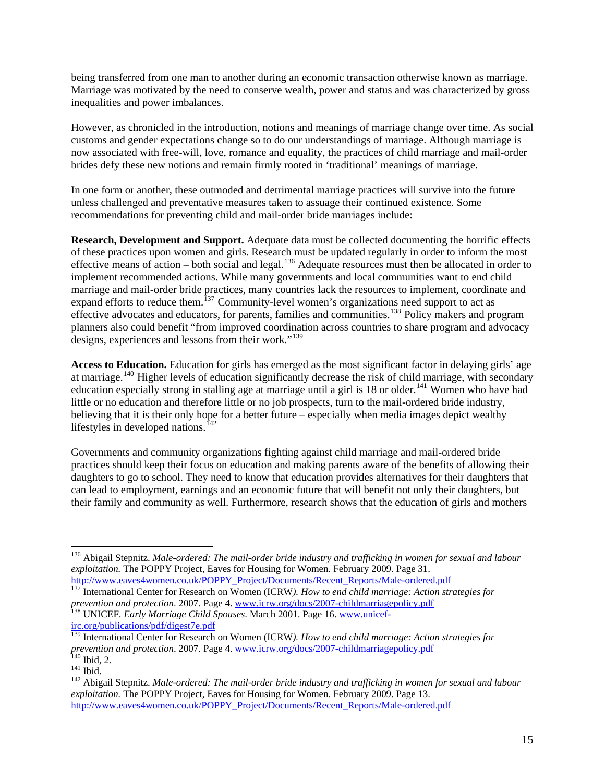being transferred from one man to another during an economic transaction otherwise known as marriage. Marriage was motivated by the need to conserve wealth, power and status and was characterized by gross inequalities and power imbalances.

However, as chronicled in the introduction, notions and meanings of marriage change over time. As social customs and gender expectations change so to do our understandings of marriage. Although marriage is now associated with free-will, love, romance and equality, the practices of child marriage and mail-order brides defy these new notions and remain firmly rooted in 'traditional' meanings of marriage.

In one form or another, these outmoded and detrimental marriage practices will survive into the future unless challenged and preventative measures taken to assuage their continued existence. Some recommendations for preventing child and mail-order bride marriages include:

**Research, Development and Support.** Adequate data must be collected documenting the horrific effects of these practices upon women and girls. Research must be updated regularly in order to inform the most effective means of action – both social and legal.<sup>[136](#page-14-0)</sup> Adequate resources must then be allocated in order to implement recommended actions. While many governments and local communities want to end child marriage and mail-order bride practices, many countries lack the resources to implement, coordinate and expand efforts to reduce them.<sup>[137](#page-14-1)</sup> Community-level women's organizations need support to act as effective advocates and educators, for parents, families and communities.[138](#page-14-2) Policy makers and program planners also could benefit "from improved coordination across countries to share program and advocacy designs, experiences and lessons from their work."<sup>[139](#page-14-3)</sup>

**Access to Education.** Education for girls has emerged as the most significant factor in delaying girls' age at marriage.<sup>[140](#page-14-4)</sup> Higher levels of education significantly decrease the risk of child marriage, with secondary education especially strong in stalling age at marriage until a girl is 18 or older.<sup>[141](#page-14-5)</sup> Women who have had little or no education and therefore little or no job prospects, turn to the mail-ordered bride industry, believing that it is their only hope for a better future – especially when media images depict wealthy lifestyles in developed nations.<sup> $142$ </sup>

Governments and community organizations fighting against child marriage and mail-ordered bride practices should keep their focus on education and making parents aware of the benefits of allowing their daughters to go to school. They need to know that education provides alternatives for their daughters that can lead to employment, earnings and an economic future that will benefit not only their daughters, but their family and community as well. Furthermore, research shows that the education of girls and mothers

<span id="page-14-0"></span><sup>136</sup> Abigail Stepnitz. *Male-ordered: The mail-order bride industry and trafficking in women for sexual and labour exploitation*. The POPPY Project, Eaves for Housing for Women. February 2009. Page 31.<br>http://www.eaves4women.co.uk/POPPY\_Project/Documents/Recent\_Reports/Male-ordered.pdf

<span id="page-14-1"></span><sup>&</sup>lt;sup>137</sup> International Center for Research on Women (ICRW). How to end child marriage: Action strategies for *prevention and protection.* 2007. Page 4. [www.icrw.org/docs/2007-childmarriagepolicy.pdf](http://www.icrw.org/docs/2007-childmarriagepolicy.pdf) <sup>138</sup> UNICEF. *Early Marriage Child Spouses*. March 2001. Page 16. [www.unicef-](http://www.unicef-irc.org/publications/pdf/digest7e.pdf)

<span id="page-14-2"></span>[irc.org/publications/pdf/digest7e.pdf](http://www.unicef-irc.org/publications/pdf/digest7e.pdf)

<span id="page-14-3"></span><sup>139</sup> International Center for Research on Women (ICRW*). How to end child marriage: Action strategies for*  prevention and protection. 2007. Page 4. [www.icrw.org/docs/2007-childmarriagepolicy.pdf](http://www.icrw.org/docs/2007-childmarriagepolicy.pdf)<br><sup>140</sup> Ibid, 2.<br><sup>141</sup> Ibid.<br><sup>142</sup> Abigail Stepnitz. Male-ordered: The mail-order bride industry and trafficking in women for sexual and

<span id="page-14-4"></span>

<span id="page-14-6"></span><span id="page-14-5"></span>*exploitation.* The POPPY Project, Eaves for Housing for Women. February 2009. Page 13. [http://www.eaves4women.co.uk/POPPY\\_Project/Documents/Recent\\_Reports/Male-ordered.pdf](http://www.eaves4women.co.uk/POPPY_Project/Documents/Recent_Reports/Male-ordered.pdf)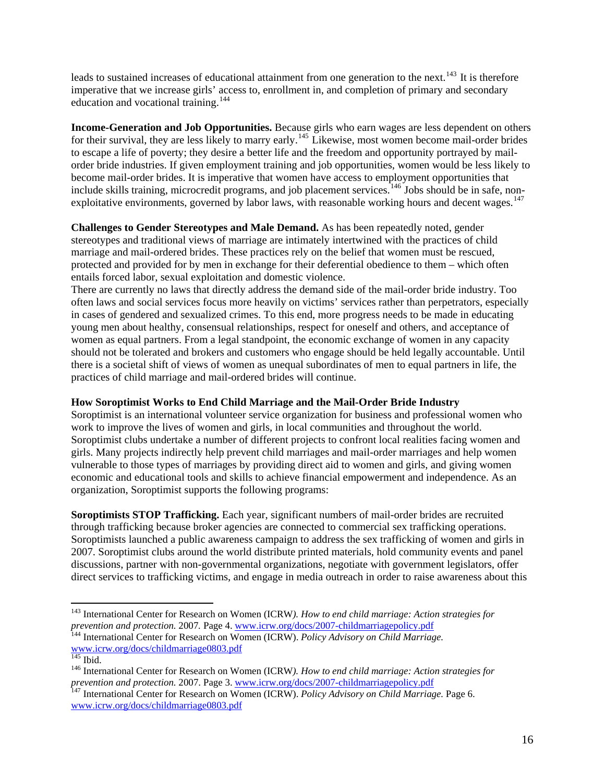leads to sustained increases of educational attainment from one generation to the next.<sup>[143](#page-15-0)</sup> It is therefore imperative that we increase girls' access to, enrollment in, and completion of primary and secondary education and vocational training.<sup>[144](#page-15-1)</sup>

**Income-Generation and Job Opportunities.** Because girls who earn wages are less dependent on others for their survival, they are less likely to marry early.<sup>[145](#page-15-2)</sup> Likewise, most women become mail-order brides to escape a life of poverty; they desire a better life and the freedom and opportunity portrayed by mailorder bride industries. If given employment training and job opportunities, women would be less likely to become mail-order brides. It is imperative that women have access to employment opportunities that include skills training, microcredit programs, and job placement services. <sup>[146](#page-15-3)</sup> Jobs should be in safe, non-exploitative environments, governed by labor laws, with reasonable working hours and decent wages.<sup>[147](#page-15-4)</sup>

**Challenges to Gender Stereotypes and Male Demand.** As has been repeatedly noted, gender stereotypes and traditional views of marriage are intimately intertwined with the practices of child marriage and mail-ordered brides. These practices rely on the belief that women must be rescued, protected and provided for by men in exchange for their deferential obedience to them – which often entails forced labor, sexual exploitation and domestic violence.

There are currently no laws that directly address the demand side of the mail-order bride industry. Too often laws and social services focus more heavily on victims' services rather than perpetrators, especially in cases of gendered and sexualized crimes. To this end, more progress needs to be made in educating young men about healthy, consensual relationships, respect for oneself and others, and acceptance of women as equal partners. From a legal standpoint, the economic exchange of women in any capacity should not be tolerated and brokers and customers who engage should be held legally accountable. Until there is a societal shift of views of women as unequal subordinates of men to equal partners in life, the practices of child marriage and mail-ordered brides will continue.

# **How Soroptimist Works to End Child Marriage and the Mail-Order Bride Industry**

Soroptimist is an international volunteer service organization for business and professional women who work to improve the lives of women and girls, in local communities and throughout the world. Soroptimist clubs undertake a number of different projects to confront local realities facing women and girls. Many projects indirectly help prevent child marriages and mail-order marriages and help women vulnerable to those types of marriages by providing direct aid to women and girls, and giving women economic and educational tools and skills to achieve financial empowerment and independence. As an organization, Soroptimist supports the following programs:

**Soroptimists STOP Trafficking.** Each year, significant numbers of mail-order brides are recruited through trafficking because broker agencies are connected to commercial sex trafficking operations. Soroptimists launched a public awareness campaign to address the sex trafficking of women and girls in 2007. Soroptimist clubs around the world distribute printed materials, hold community events and panel discussions, partner with non-governmental organizations, negotiate with government legislators, offer direct services to trafficking victims, and engage in media outreach in order to raise awareness about this

<span id="page-15-1"></span>[www.icrw.org/docs/childmarriage0803.pdf](http://www.icrw.org/docs/childmarriage0803.pdf)

<span id="page-15-0"></span><sup>143</sup> International Center for Research on Women (ICRW*). How to end child marriage: Action strategies for prevention and protection.* 2007*.* Page 4. [www.icrw.org/docs/2007-childmarriagepolicy.pdf](http://www.icrw.org/docs/2007-childmarriagepolicy.pdf) 144 International Center for Research on Women (ICRW). *Policy Advisory on Child Marriage.*

<span id="page-15-3"></span><span id="page-15-2"></span><sup>&</sup>lt;sup>146</sup> International Center for Research on Women (ICRW). How to end child marriage: Action strategies for *prevention and protection.* 2007. Page 3. [www.icrw.org/docs/2007-childmarriagepolicy.pdf](http://www.icrw.org/docs/2007-childmarriagepolicy.pdf) <sup>147</sup> International Center for Research on Women (ICRW). *Policy Advisory on Child Marriage*. Page 6.

<span id="page-15-4"></span>[www.icrw.org/docs/childmarriage0803.pdf](http://www.icrw.org/docs/childmarriage0803.pdf)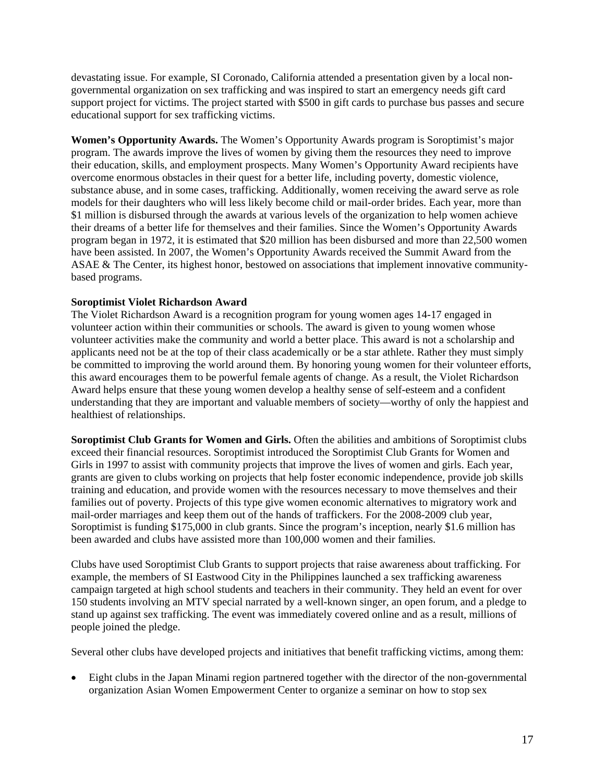devastating issue. For example, SI Coronado, California attended a presentation given by a local nongovernmental organization on sex trafficking and was inspired to start an emergency needs gift card support project for victims. The project started with \$500 in gift cards to purchase bus passes and secure educational support for sex trafficking victims.

**Women's Opportunity Awards.** The Women's Opportunity Awards program is Soroptimist's major program. The awards improve the lives of women by giving them the resources they need to improve their education, skills, and employment prospects. Many Women's Opportunity Award recipients have overcome enormous obstacles in their quest for a better life, including poverty, domestic violence, substance abuse, and in some cases, trafficking. Additionally, women receiving the award serve as role models for their daughters who will less likely become child or mail-order brides. Each year, more than \$1 million is disbursed through the awards at various levels of the organization to help women achieve their dreams of a better life for themselves and their families. Since the Women's Opportunity Awards program began in 1972, it is estimated that \$20 million has been disbursed and more than 22,500 women have been assisted. In 2007, the Women's Opportunity Awards received the Summit Award from the ASAE & The Center, its highest honor, bestowed on associations that implement innovative communitybased programs.

#### **Soroptimist Violet Richardson Award**

The Violet Richardson Award is a recognition program for young women ages 14-17 engaged in volunteer action within their communities or schools. The award is given to young women whose volunteer activities make the community and world a better place. This award is not a scholarship and applicants need not be at the top of their class academically or be a star athlete. Rather they must simply be committed to improving the world around them. By honoring young women for their volunteer efforts, this award encourages them to be powerful female agents of change. As a result, the Violet Richardson Award helps ensure that these young women develop a healthy sense of self-esteem and a confident understanding that they are important and valuable members of society—worthy of only the happiest and healthiest of relationships.

**Soroptimist Club Grants for Women and Girls.** Often the abilities and ambitions of Soroptimist clubs exceed their financial resources. Soroptimist introduced the Soroptimist Club Grants for Women and Girls in 1997 to assist with community projects that improve the lives of women and girls. Each year, grants are given to clubs working on projects that help foster economic independence, provide job skills training and education, and provide women with the resources necessary to move themselves and their families out of poverty. Projects of this type give women economic alternatives to migratory work and mail-order marriages and keep them out of the hands of traffickers. For the 2008-2009 club year, Soroptimist is funding \$175,000 in club grants. Since the program's inception, nearly \$1.6 million has been awarded and clubs have assisted more than 100,000 women and their families.

Clubs have used Soroptimist Club Grants to support projects that raise awareness about trafficking. For example, the members of SI Eastwood City in the Philippines launched a sex trafficking awareness campaign targeted at high school students and teachers in their community. They held an event for over 150 students involving an MTV special narrated by a well-known singer, an open forum, and a pledge to stand up against sex trafficking. The event was immediately covered online and as a result, millions of people joined the pledge.

Several other clubs have developed projects and initiatives that benefit trafficking victims, among them:

• Eight clubs in the Japan Minami region partnered together with the director of the non-governmental organization Asian Women Empowerment Center to organize a seminar on how to stop sex